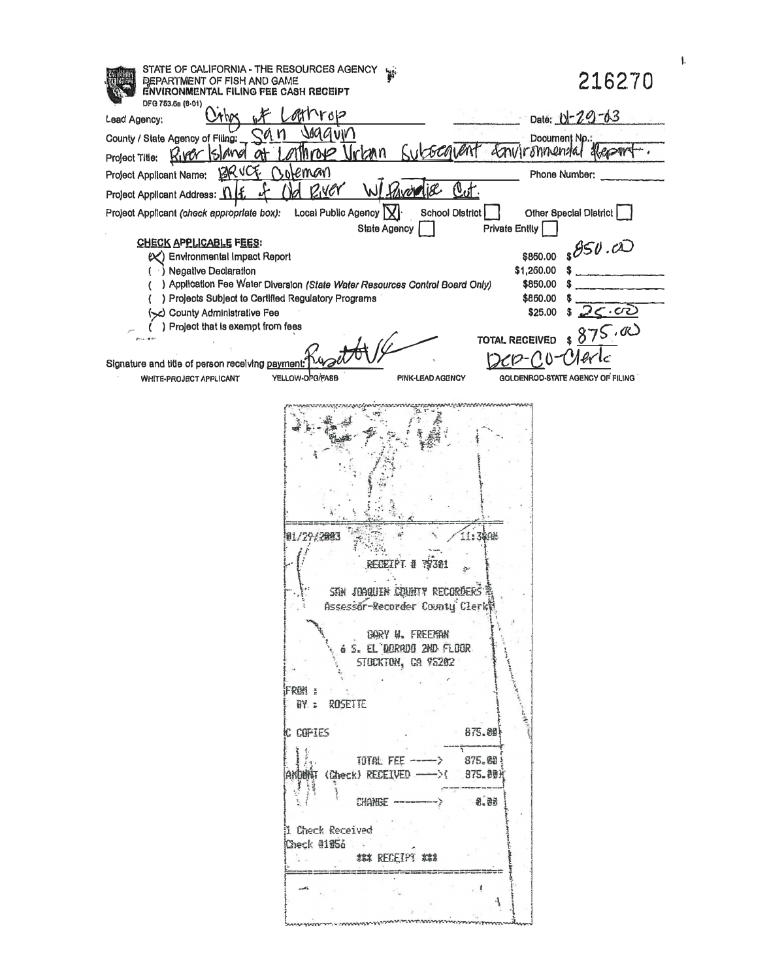| STATE OF CALIFORNIA - THE RESOURCES AGENCY virtually<br>DEPARTMENT OF FISH AND GAME<br>ENVIRONMENTAL FILING FEE CASH RECEIPT                                                                                                                                                                                                                                                                    | 216270                                     |
|-------------------------------------------------------------------------------------------------------------------------------------------------------------------------------------------------------------------------------------------------------------------------------------------------------------------------------------------------------------------------------------------------|--------------------------------------------|
| DFG 753.6a (6-01)<br>いいつ<br>Lead Agency:                                                                                                                                                                                                                                                                                                                                                        | Date: 0-29-63                              |
| saggvin<br>County / State Agency of Filing:                                                                                                                                                                                                                                                                                                                                                     | Document Np.:                              |
| Vrkan<br>River Isl<br>hubach<br>MAGI<br>Mrove<br>ለት<br>Project Title:                                                                                                                                                                                                                                                                                                                           | <i><u>Environmental</u></i><br><b>KROW</b> |
| oteman<br>RК<br>Project Applicant Name:                                                                                                                                                                                                                                                                                                                                                         | Phone Number:                              |
| <u>Out</u><br>RNEY<br><u>vollise</u><br>lł.<br>Project Applicant Address: 1                                                                                                                                                                                                                                                                                                                     |                                            |
| Local Public Agency   X <br><b>School District</b><br>Project Applicant (check appropriate box):                                                                                                                                                                                                                                                                                                | Other Special District                     |
| <b>State Agency</b><br><b>CHECK APPLICABLE FEES:</b>                                                                                                                                                                                                                                                                                                                                            | <b>Private Entity</b>                      |
| <b>Environmental Impact Report</b><br>$\propto$ )                                                                                                                                                                                                                                                                                                                                               | 850.00<br>\$860.00                         |
| <b>Negative Declaration</b><br>) Application Fee Water Diversion (State Water Resources Control Board Only)                                                                                                                                                                                                                                                                                     | \$1,260.00<br>\$850.00                     |
| ) Projects Subject to Certified Regulatory Programs                                                                                                                                                                                                                                                                                                                                             | \$860.00                                   |
| (Sc) County Administrative Fee<br>) Project that is exempt from fees                                                                                                                                                                                                                                                                                                                            | <u> 25.05 </u><br>\$25,00                  |
|                                                                                                                                                                                                                                                                                                                                                                                                 | 875.00<br><b>TOTAL RECEIVED</b>            |
| Signature and title of person receiving payment: 1142                                                                                                                                                                                                                                                                                                                                           |                                            |
| YELLOW-D <sup>h</sup> O/FASB<br>WHITE-PROJECT APPLICANT<br>PINK-LEAD AGENCY                                                                                                                                                                                                                                                                                                                     | GOLDENROD-STATE AGENCY OF FILING           |
| 11:380<br>FGEIPT #<br>SAN JOAQUIN COUNTY RECORDERS<br>Assessor-Recorder County Clerk<br>GARY N. FREEMIN<br>6 5. EL DURADO 2ND FLOOR<br>STOCKTON, CA 95202<br>FROM E<br><b>BY.: ROSETTE</b><br>875.89<br>C COPIES<br>TUTAL FEE -----><br>875. 40<br>ARDINGT (Check) RECEIVED ----->(<br>875.90光<br>$-8 - 0.5$<br>CHANGE -<br>i Check Received<br>$Check$ $#1956$<br><b>1. 李祥 RECEIPT 林津</b><br>1 |                                            |

 $\mathbf{L}$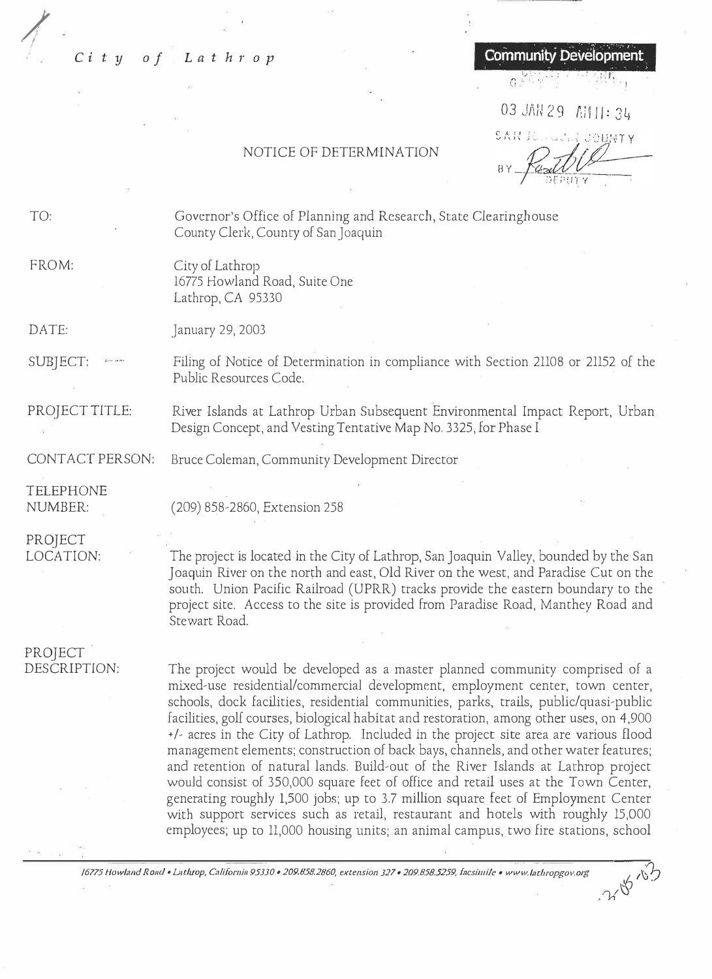# **City** of Lathrop **Community Development**

 $G^+$ 

03 JAN 29 AM ||: 34 SAR ROLLA

. 7,18 13

### NOTICE OF DETERMINATION

TO:

/. *. . !*

> Governor's Office of Planning and Research, State Clearinghouse County Clerk, County of San Joaquin

#### FROM: City of Lathrop 16775 Howland Road, Suite One Lathrop, CA 95330

DATE: January 29, 2003

SUBJECT: Filing of Notice of Determination in compliance with Section 21108 or 21152 of the Public Resources Code.

PROJECT TITLE: River Islands at Lathrop Urban Subsequent Environmental Impact Report, Urban Design Concept, and Vesting Tentative Map No. 3325, for Phase I

CONTACT PERSON: Bruce Coleman, Community Development Director

TELEPHONE NUMBER:

(209) 858-2860, Extension 258

PROJECT LOCATION:

The project is located in the City of Lathrop, San Joaquin Valley, bounded by the San Joaquin River on the north and east, Old River on the west, and Paradise Cut on the south. Union Pacific Railroad (UPRR) tracks provide the eastern boundary to the project site. Access to the site is provided from Paradise Road, Manthey Road and Stewart Road.

PROJECT DESCRIPTION:

The project would be developed as a master planned community comprised of a mixed-use residential/commercial development, employment center, town center, schools, dock facilities, residential communities, parks, trails, public/quasi-public facilities, goli courses, biological habitat and restoration, among other uses, on 4,900 +/, acres in the City of Lathrop. Included in the project site area are various flood management elements; construction of back bays, channels, and other water features; and retention of natural lands. Build-out of the River Islands at Lathrop project would consist of 350,000 square feet of office and retail uses at the Town Center, generating roughly 1,500 jobs; up to 3.7 million square feet of Employment Center with support services such as retail, restaurant and hotels with roughly 15,000 employees; up to 11,000 housing units; an animal campus, two fire stations, school

*/6115 How/,wd Rand• L11throp, C1/Jfornin 95JJO* • *209.858.2860, extension J21* • *209.858.5259. fncsimile* • *www.l,1thropgo11.org � ii?J*

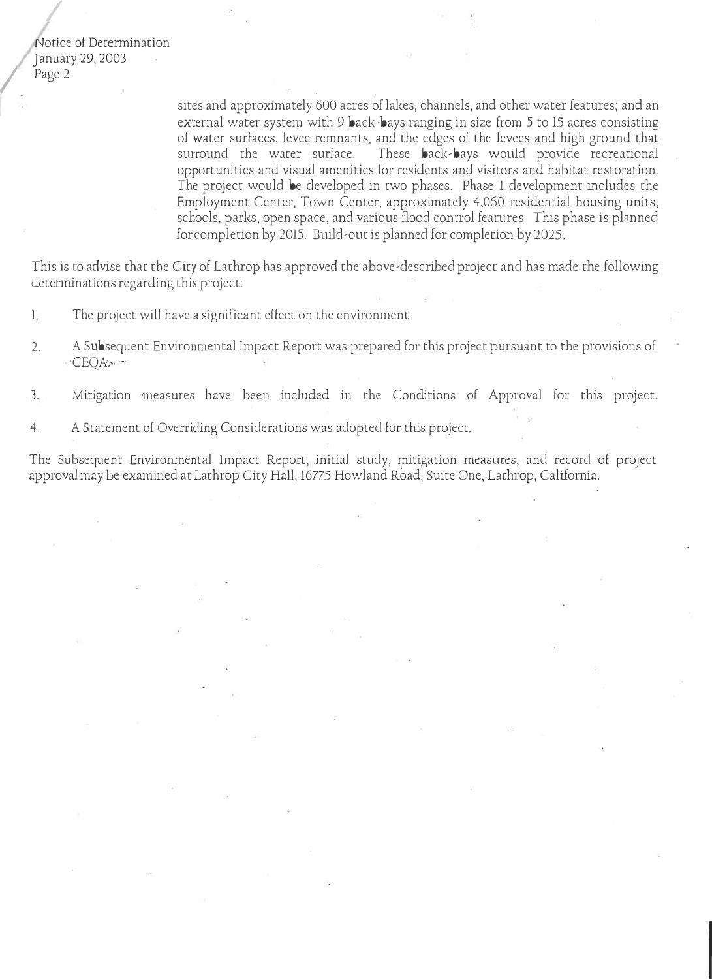Notice of Determination January 29, 2003 Page 2

/

*I* 

sites and approximately 600 acres of lakes, channels, and other water features; and an external water system with 9 back-bays ranging in size from 5 to 15 acres consisting of water surfaces, levee remnants, and the edges of the levees and high ground that surround the water surface. These back-bays would provide recreational opportunities and visual amenities for residents and visitors and habitat restoration. The project would be developed in two phases. Phase 1 development includes the Employment Center, Town Center, approximately 4,060 residential housing units, schools, parks, open space, and various flood control features. This phase is planned for completion by 2015. Build-out is planned for completion by 2025.

This is to advise that the City of Lathrop has approved the above-described project and has made the following determinations regarding this project:

- 1. The project will have a significant effect on the environment.
- 2. A Subsequent Environmental Impact Report was prepared for this project pursuant to the provisions of ·CEQA:·-·
- 3. Mitigation measures have been included in the Conditions of Approval for this project.
- 4. A Statement of Overriding Considerations was adopted for this project.

The Subsequent Environmental Impact Report, initial study, mitigation measures, and record of project approval may be examined at Lathrop City Hall, 16775 Howland Road, Suite One, Lathrop, California.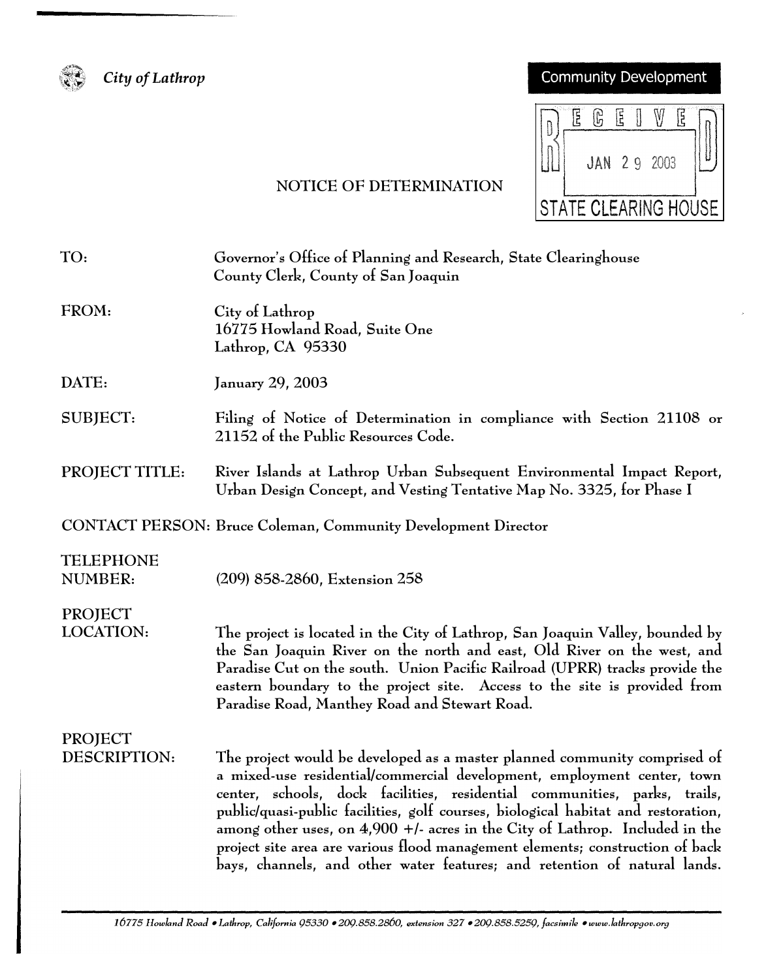

*City of Lathrop* 

# Community Development

|                             |  | G                  | 佴 |  |  |  |  |
|-----------------------------|--|--------------------|---|--|--|--|--|
|                             |  | <b>JAN 29 2003</b> |   |  |  |  |  |
| <b>STATE CLEARING HOUSE</b> |  |                    |   |  |  |  |  |

# NOTICE OF DETERMINATION

# TO: Governor's Office of Planning and Research, State Clearinghouse County Clerk, County of San Joaquin

FROM: City of Lathrop 16775 Howland Road, Suite One Lathrop, CA 95330

DATE: January 29, 2003

- SUBJECT: Filing of Notice of Determination in compliance with Section 21108 or 21152 of the Public Resources Code.
- PROJECT TITLE: River Islands at Lathrop Urban Subsequent Environmental Impact Report, Urban Design Concept, and Vesting Tentative Map No. 3325, for Phase I

CONTACT PERSON: Bruce Coleman, Community Development Director

#### TELEPHONE NUMBER:

(209) 858-2860, Extension 258

# PROJECT LOCATION:

The project is located in the City of Lathrop, San Joaquin Valley, bounded by the San Joaquin River on the north and east, Old River on the west, and Paradise Cut on the south. Union Pacific Railroad (UPRR) tracks provide the eastern boundary to the project site. Access to the site is provided from Paradise Road, Manthey Road and Stewart Road.

# PROJECT DESCRIPTION:

The project would be developed as a master planned community comprised of a mixed-use residential/commercial development, employment center, town center, schools, dock facilities, residential communities, parks, trails, public/quasi-public facilities, golf courses, biological habitat and restoration, among other uses, on 4,900 +/- acres in the City of Lathrop. Included in the project site area are various flood management elements; construction of back bays, channels, and other water features; and retention of natural lands.